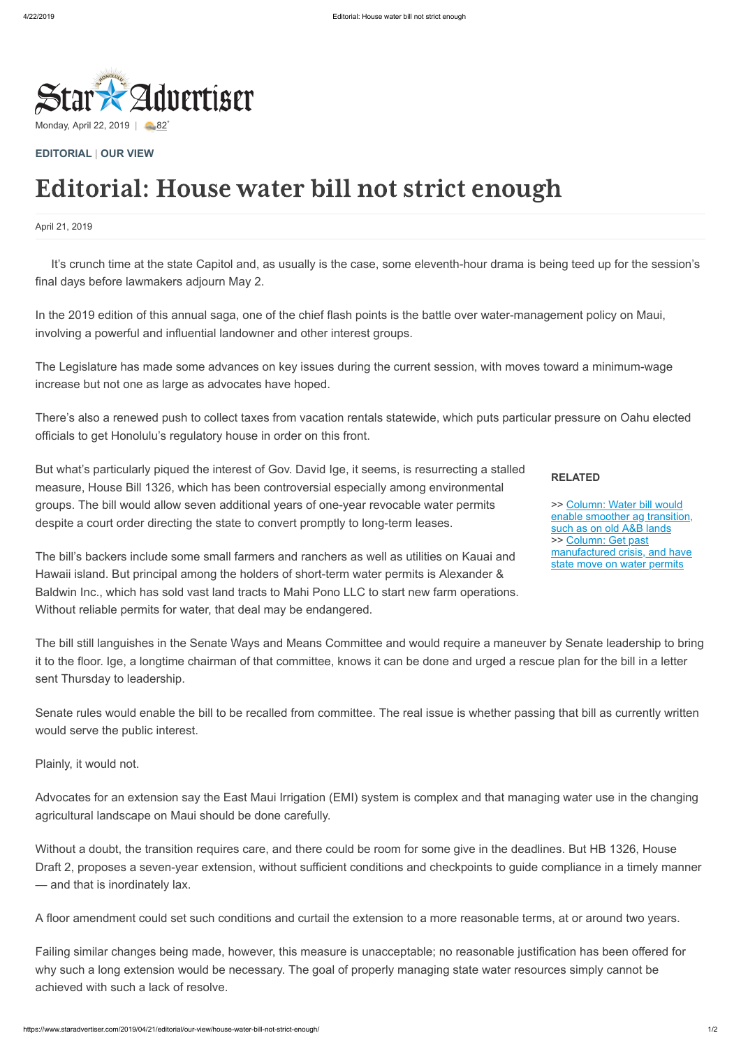

April 21, 2019

**RELATED**

>> Column: Water bill would [enable smoother ag transition,](https://www.staradvertiser.com/2019/04/21/editorial/insight/water-bill-would-enable-smoother-ag-transition-such-as-on-old-ab-lands/?HSA=68b41efc161832e0474f3f6a8ecb9a62008d8b6b) such as on old A&B lands >> Column: Get past [manufactured crisis, and have](https://www.staradvertiser.com/2019/04/21/editorial/insight/get-past-manufactured-crisis-and-have-state-move-on-water-permits/?HSA=c492326f1e30e78f9787f15a1ac2b87c8f846e14) state move on water permits

**[EDITORIAL](https://www.staradvertiser.com/category/editorial/)** | **[OUR VIEW](https://www.staradvertiser.com/category/editorial/our-view/)**

## Editorial: House water bill not strict enough

It's crunch time at the state Capitol and, as usually is the case, some eleventh-hour drama is being teed up for the session's final days before lawmakers adjourn May 2.

In the 2019 edition of this annual saga, one of the chief flash points is the battle over water-management policy on Maui, involving a powerful and influential landowner and other interest groups.

The Legislature has made some advances on key issues during the current session, with moves toward a minimum-wage increase but not one as large as advocates have hoped.

There's also a renewed push to collect taxes from vacation rentals statewide, which puts particular pressure on Oahu elected officials to get Honolulu's regulatory house in order on this front.

But what's particularly piqued the interest of Gov. David Ige, it seems, is resurrecting a stalled measure, House Bill 1326, which has been controversial especially among environmental groups. The bill would allow seven additional years of one-year revocable water permits despite a court order directing the state to convert promptly to long-term leases.

The bill's backers include some small farmers and ranchers as well as utilities on Kauai and Hawaii island. But principal among the holders of short-term water permits is Alexander & Baldwin Inc., which has sold vast land tracts to Mahi Pono LLC to start new farm operations. Without reliable permits for water, that deal may be endangered.

The bill still languishes in the Senate Ways and Means Committee and would require a maneuver by Senate leadership to bring it to the floor. Ige, a longtime chairman of that committee, knows it can be done and urged a rescue plan for the bill in a letter sent Thursday to leadership.

Senate rules would enable the bill to be recalled from committee. The real issue is whether passing that bill as currently written would serve the public interest.

Plainly, it would not.

Advocates for an extension say the East Maui Irrigation (EMI) system is complex and that managing water use in the changing agricultural landscape on Maui should be done carefully.

Without a doubt, the transition requires care, and there could be room for some give in the deadlines. But HB 1326, House Draft 2, proposes a seven-year extension, without sufficient conditions and checkpoints to guide compliance in a timely manner — and that is inordinately lax.

A floor amendment could set such conditions and curtail the extension to a more reasonable terms, at or around two years.

Failing similar changes being made, however, this measure is unacceptable; no reasonable justification has been offered for why such a long extension would be necessary. The goal of properly managing state water resources simply cannot be achieved with such a lack of resolve.